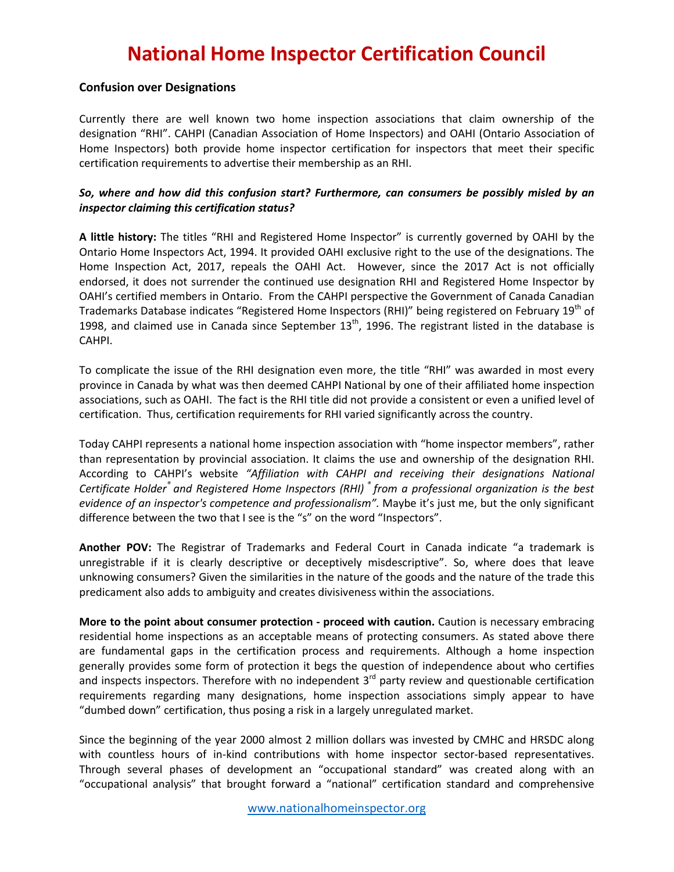## **National Home Inspector Certification Council**

## **Confusion over Designations**

Currently there are well known two home inspection associations that claim ownership of the designation "RHI". CAHPI (Canadian Association of Home Inspectors) and OAHI (Ontario Association of Home Inspectors) both provide home inspector certification for inspectors that meet their specific certification requirements to advertise their membership as an RHI.

## *So, where and how did this confusion start? Furthermore, can consumers be possibly misled by an inspector claiming this certification status?*

**A little history:** The titles "RHI and Registered Home Inspector" is currently governed by OAHI by the Ontario Home Inspectors Act, 1994. It provided OAHI exclusive right to the use of the designations. The Home Inspection Act, 2017, repeals the OAHI Act. However, since the 2017 Act is not officially endorsed, it does not surrender the continued use designation RHI and Registered Home Inspector by OAHI's certified members in Ontario. From the CAHPI perspective the Government of Canada Canadian Trademarks Database indicates "Registered Home Inspectors (RHI)" being registered on February 19th of 1998, and claimed use in Canada since September  $13<sup>th</sup>$ , 1996. The registrant listed in the database is CAHPI.

To complicate the issue of the RHI designation even more, the title "RHI" was awarded in most every province in Canada by what was then deemed CAHPI National by one of their affiliated home inspection associations, such as OAHI. The fact is the RHI title did not provide a consistent or even a unified level of certification. Thus, certification requirements for RHI varied significantly across the country.

Today CAHPI represents a national home inspection association with "home inspector members", rather than representation by provincial association. It claims the use and ownership of the designation RHI. According to CAHPI's website *"Affiliation with CAHPI and receiving their designations National Certificate Holder® and Registered Home Inspectors (RHI) ® from a professional organization is the best evidence of an inspector's competence and professionalism".* Maybe it's just me, but the only significant difference between the two that I see is the "s" on the word "Inspectors".

**Another POV:** The Registrar of Trademarks and Federal Court in Canada indicate "a trademark is unregistrable if it is clearly descriptive or deceptively misdescriptive". So, where does that leave unknowing consumers? Given the similarities in the nature of the goods and the nature of the trade this predicament also adds to ambiguity and creates divisiveness within the associations.

**More to the point about consumer protection - proceed with caution.** Caution is necessary embracing residential home inspections as an acceptable means of protecting consumers. As stated above there are fundamental gaps in the certification process and requirements. Although a home inspection generally provides some form of protection it begs the question of independence about who certifies and inspects inspectors. Therefore with no independent 3<sup>rd</sup> party review and questionable certification requirements regarding many designations, home inspection associations simply appear to have "dumbed down" certification, thus posing a risk in a largely unregulated market.

Since the beginning of the year 2000 almost 2 million dollars was invested by CMHC and HRSDC along with countless hours of in-kind contributions with home inspector sector-based representatives. Through several phases of development an "occupational standard" was created along with an "occupational analysis" that brought forward a "national" certification standard and comprehensive